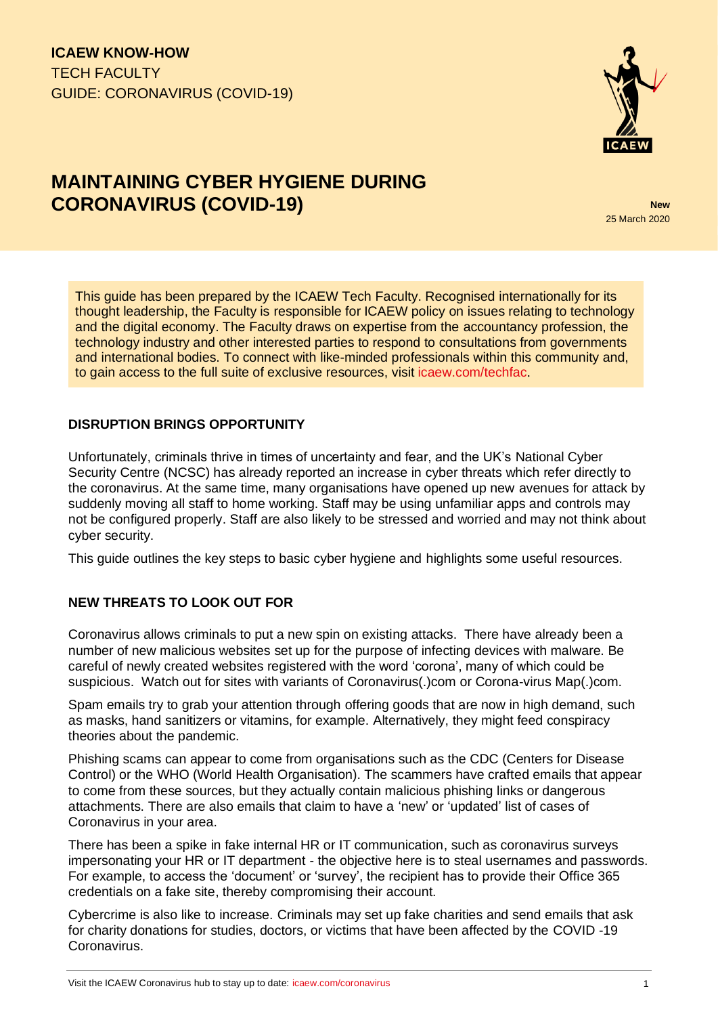**ICAEW KNOW-HOW** TECH FACULTY GUIDE: CORONAVIRUS (COVID-19)



# **MAINTAINING CYBER HYGIENE DURING CORONAVIRUS (COVID-19) New**

25 March 2020

This guide has been prepared by the ICAEW Tech Faculty. Recognised internationally for its thought leadership, the Faculty is responsible for ICAEW policy on issues relating to technology and the digital economy. The Faculty draws on expertise from the accountancy profession, the technology industry and other interested parties to respond to consultations from governments and international bodies. To connect with like-minded professionals within this community and, to gain access to the full suite of exclusive resources, visit [icaew.com/techfac](https://www.icaew.com/groups-and-networks/faculties/tech-faculty).

### **DISRUPTION BRINGS OPPORTUNITY**

Unfortunately, criminals thrive in times of uncertainty and fear, and the UK's National Cyber Security Centre (NCSC) has already reported an increase in cyber threats which refer directly to the coronavirus. At the same time, many organisations have opened up new avenues for attack by suddenly moving all staff to home working. Staff may be using unfamiliar apps and controls may not be configured properly. Staff are also likely to be stressed and worried and may not think about cyber security.

This guide outlines the key steps to basic cyber hygiene and highlights some useful resources.

# **NEW THREATS TO LOOK OUT FOR**

Coronavirus allows criminals to put a new spin on existing attacks. There have already been a number of new malicious websites set up for the purpose of infecting devices with malware. Be careful of newly created websites registered with the word 'corona', many of which could be suspicious. Watch out for sites with variants of Coronavirus(.)com or Corona-virus Map(.)com.

Spam emails try to grab your attention through offering goods that are now in high demand, such as masks, hand sanitizers or vitamins, for example. Alternatively, they might feed conspiracy theories about the pandemic.

Phishing scams can appear to come from organisations such as the CDC (Centers for Disease Control) or the WHO (World Health Organisation). The scammers have crafted emails that appear to come from these sources, but they actually contain malicious phishing links or dangerous attachments. There are also emails that claim to have a 'new' or 'updated' list of cases of Coronavirus in your area.

There has been a spike in fake internal HR or IT communication, such as coronavirus surveys impersonating your HR or IT department - the objective here is to steal usernames and passwords. For example, to access the 'document' or 'survey', the recipient has to provide their Office 365 credentials on a fake site, thereby compromising their account.

Cybercrime is also like to increase. Criminals may set up fake charities and send emails that ask for charity donations for studies, doctors, or victims that have been affected by the COVID -19 Coronavirus.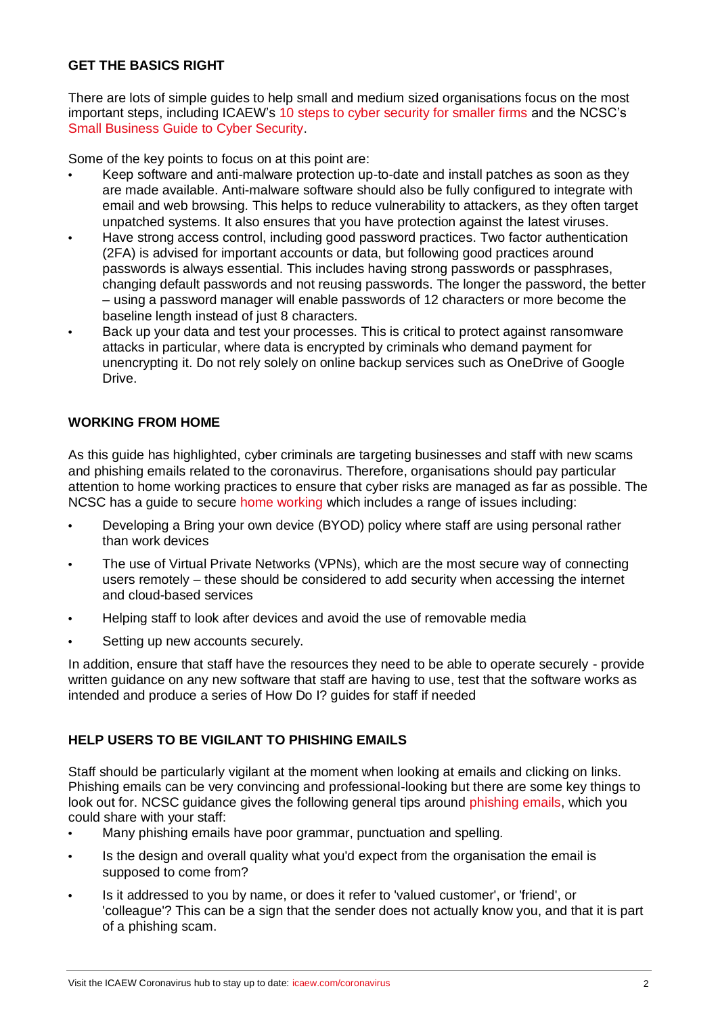### **GET THE BASICS RIGHT**

There are lots of simple guides to help small and medium sized organisations focus on the most important steps, including ICAEW's [10 steps to cyber security for smaller firms](https://www.icaew.com/-/media/corporate/files/technical/information-technology/essential-guides/tech-essentials-10-steps-to-cyber-security-for-smaller-firms.ashx) and the NCSC's [Small Business Guide to Cyber Security.](https://www.ncsc.gov.uk/collection/small-business-guide)

Some of the key points to focus on at this point are:

- **•** Keep software and anti-malware protection up-to-date and install patches as soon as they are made available. Anti-malware software should also be fully configured to integrate with email and web browsing. This helps to reduce vulnerability to attackers, as they often target unpatched systems. It also ensures that you have protection against the latest viruses.
- **•** Have strong access control, including good password practices. Two factor authentication (2FA) is advised for important accounts or data, but following good practices around passwords is always essential. This includes having strong passwords or passphrases, changing default passwords and not reusing passwords. The longer the password, the better – using a password manager will enable passwords of 12 characters or more become the baseline length instead of just 8 characters.
- **•** Back up your data and test your processes. This is critical to protect against ransomware attacks in particular, where data is encrypted by criminals who demand payment for unencrypting it. Do not rely solely on online backup services such as OneDrive of Google Drive.

### **WORKING FROM HOME**

As this guide has highlighted, cyber criminals are targeting businesses and staff with new scams and phishing emails related to the coronavirus. Therefore, organisations should pay particular attention to home working practices to ensure that cyber risks are managed as far as possible. The NCSC has a guide to secure [home working](https://www.ncsc.gov.uk/guidance/home-working) which includes a range of issues including:

- **•** Developing a Bring your own device (BYOD) policy where staff are using personal rather than work devices
- **•** The use of Virtual Private Networks (VPNs), which are the most secure way of connecting users remotely – these should be considered to add security when accessing the internet and cloud-based services
- **•** Helping staff to look after devices and avoid the use of removable media
- **•** Setting up new accounts securely.

In addition, ensure that staff have the resources they need to be able to operate securely - provide written guidance on any new software that staff are having to use, test that the software works as intended and produce a series of How Do I? guides for staff if needed

#### **HELP USERS TO BE VIGILANT TO PHISHING EMAILS**

Staff should be particularly vigilant at the moment when looking at emails and clicking on links. Phishing emails can be very convincing and professional-looking but there are some key things to look out for. NCSC guidance gives the following general tips around [phishing emails,](https://www.ncsc.gov.uk/guidance/suspicious-email-actions) which you could share with your staff:

- **•** Many phishing emails have poor grammar, punctuation and spelling.
- **•** Is the design and overall quality what you'd expect from the organisation the email is supposed to come from?
- **•** Is it addressed to you by name, or does it refer to 'valued customer', or 'friend', or 'colleague'? This can be a sign that the sender does not actually know you, and that it is part of a phishing scam.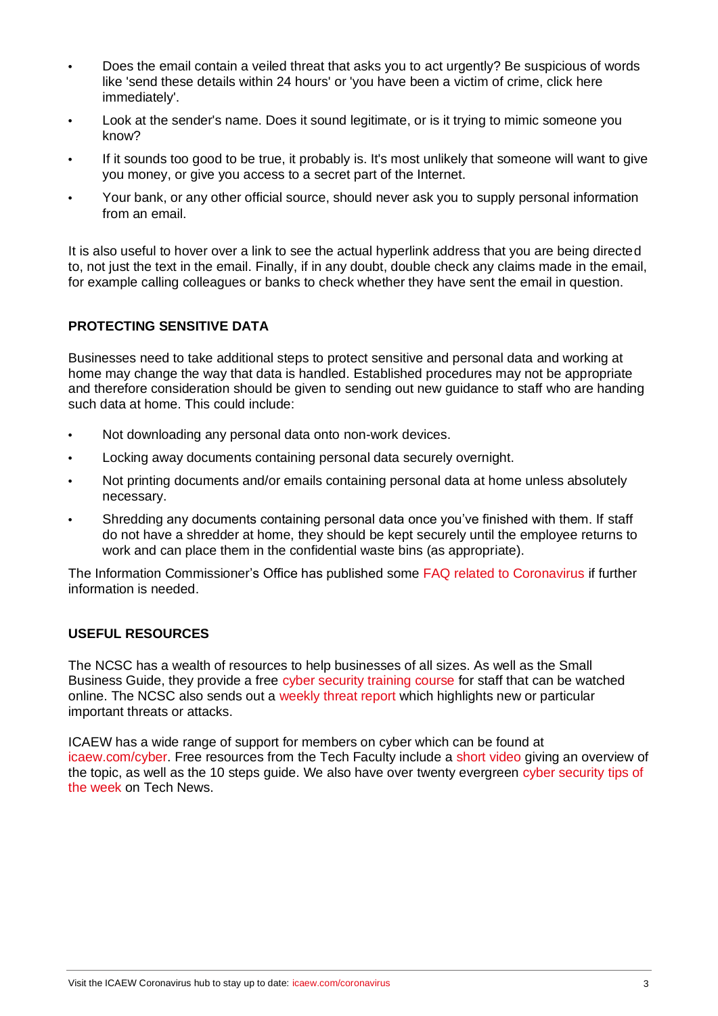- **•** Does the email contain a veiled threat that asks you to act urgently? Be suspicious of words like 'send these details within 24 hours' or 'you have been a victim of crime, click here immediately'.
- **•** Look at the sender's name. Does it sound legitimate, or is it trying to mimic someone you know?
- **•** If it sounds too good to be true, it probably is. It's most unlikely that someone will want to give you money, or give you access to a secret part of the Internet.
- **•** Your bank, or any other official source, should never ask you to supply personal information from an email.

It is also useful to hover over a link to see the actual hyperlink address that you are being directed to, not just the text in the email. Finally, if in any doubt, double check any claims made in the email, for example calling colleagues or banks to check whether they have sent the email in question.

#### **PROTECTING SENSITIVE DATA**

Businesses need to take additional steps to protect sensitive and personal data and working at home may change the way that data is handled. Established procedures may not be appropriate and therefore consideration should be given to sending out new guidance to staff who are handing such data at home. This could include:

- **•** Not downloading any personal data onto non-work devices.
- **•** Locking away documents containing personal data securely overnight.
- **•** Not printing documents and/or emails containing personal data at home unless absolutely necessary.
- **•** Shredding any documents containing personal data once you've finished with them. If staff do not have a shredder at home, they should be kept securely until the employee returns to work and can place them in the confidential waste bins (as appropriate).

The Information Commissioner's Office has published some [FAQ related to Coronavirus](https://ico.org.uk/for-organisations/data-protection-and-coronavirus/) if further information is needed.

## **USEFUL RESOURCES**

The NCSC has a wealth of resources to help businesses of all sizes. As well as the Small Business Guide, they provide a free [cyber security training course](https://www.ncsc.gov.uk/blog-post/ncsc-cyber-security-training-for-staff-now-available) for staff that can be watched online. The NCSC also sends out a [weekly threat report](https://www.ncsc.gov.uk/section/keep-up-to-date/threat-reports?q=&defaultTypes=report&sort=date%2Bdesc&start=0&rows=20) which highlights new or particular important threats or attacks.

ICAEW has a wide range of support for members on cyber which can be found at [icaew.com/cyber.](https://www.icaew.com/technical/technology/cyber-security) Free resources from the Tech Faculty include a [short video](https://www.icaew.com/technical/technology/cyber-security/cyber-security-addressing-a-key-business-risk) giving an overview of the topic, as well as the 10 steps guide. We also have over twenty evergreen [cyber security tips of](https://ion.icaew.com/technews/b/weblog/posts/cyber-security-tip-of-the-week-8)  [the week](https://ion.icaew.com/technews/b/weblog/posts/cyber-security-tip-of-the-week-8) on Tech News.